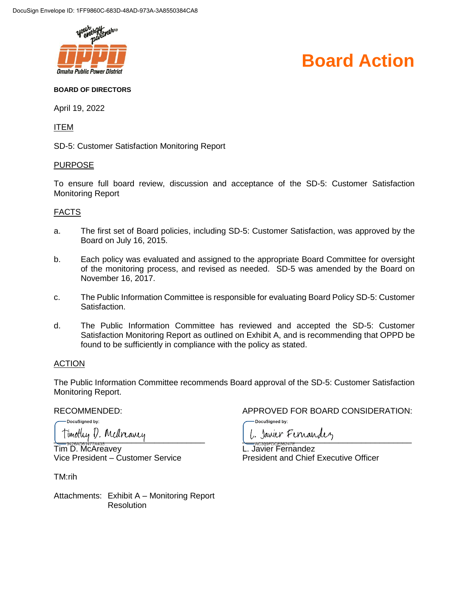

## **Board Action**

#### **BOARD OF DIRECTORS**

April 19, 2022

ITEM

SD-5: Customer Satisfaction Monitoring Report

#### PURPOSE

To ensure full board review, discussion and acceptance of the SD-5: Customer Satisfaction Monitoring Report

#### FACTS

- a. The first set of Board policies, including SD-5: Customer Satisfaction, was approved by the Board on July 16, 2015.
- b. Each policy was evaluated and assigned to the appropriate Board Committee for oversight of the monitoring process, and revised as needed. SD-5 was amended by the Board on November 16, 2017.
- c. The Public Information Committee is responsible for evaluating Board Policy SD-5: Customer Satisfaction.
- d. The Public Information Committee has reviewed and accepted the SD-5: Customer Satisfaction Monitoring Report as outlined on Exhibit A, and is recommending that OPPD be found to be sufficiently in compliance with the policy as stated.

#### **ACTION**

The Public Information Committee recommends Board approval of the SD-5: Customer Satisfaction Monitoring Report.

DocuSianed by:

Tim D. McAreavey L. Javier Fernandez

TM:rih

Attachments: Exhibit A – Monitoring Report **Resolution** 

#### RECOMMENDED: APPROVED FOR BOARD CONSIDERATION:

DocuSianed by:

Timothy D. Medreavey Contract Maria Permander

Vice President – Customer Service President and Chief Executive Officer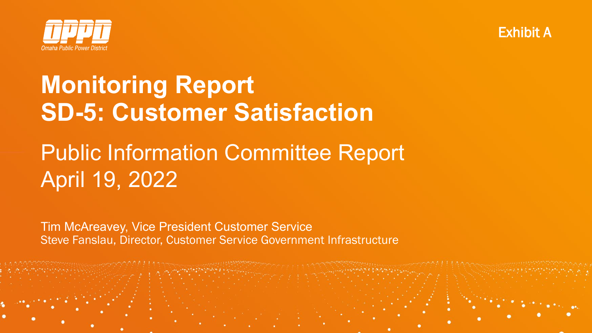



# **Monitoring Report SD-5: Customer Satisfaction**

# Public Information Committee Report April 19, 2022

Tim McAreavey, Vice President Customer Service Steve Fanslau, Director, Customer Service Government Infrastructure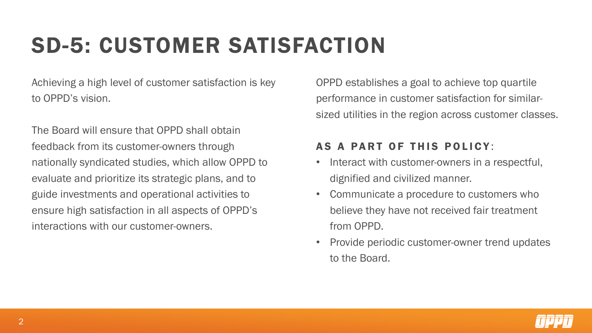# SD-5: CUSTOMER SATISFACTION

Achieving a high level of customer satisfaction is key to OPPD's vision.

The Board will ensure that OPPD shall obtain feedback from its customer-owners through nationally syndicated studies, which allow OPPD to evaluate and prioritize its strategic plans, and to guide investments and operational activities to ensure high satisfaction in all aspects of OPPD's interactions with our customer-owners.

OPPD establishes a goal to achieve top quartile performance in customer satisfaction for similarsized utilities in the region across customer classes.

#### AS A PART OF THIS POLICY :

- Interact with customer-owners in a respectful, dignified and civilized manner.
- Communicate a procedure to customers who believe they have not received fair treatment from OPPD.
- Provide periodic customer-owner trend updates to the Board.

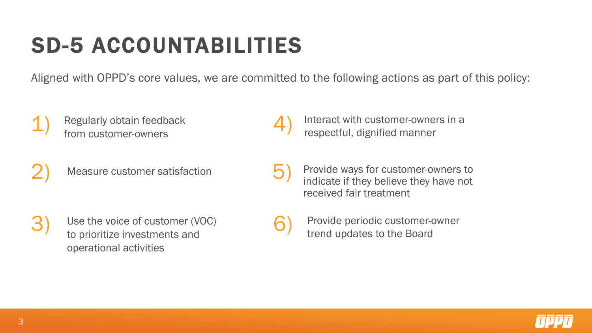# SD-5 ACCOUNTABILITIES

Aligned with OPPD's core values, we are committed to the following actions as part of this policy:

6)

- 1) Regularly obtain feedback from customer-owners
	- Measure customer satisfaction

3) Use the voice of customer (VOC) to prioritize investments and operational activities

- 4) Interact with customer-owners in a respectful, dignified manner
- Provide ways for customer-owners to indicate if they believe they have not received fair treatment 5)
	- Provide periodic customer-owner trend updates to the Board



2)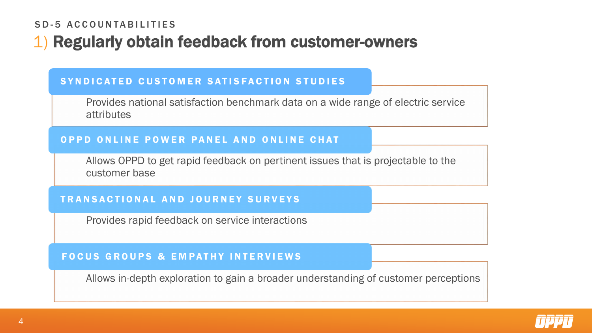#### SD-5 ACCOUNTABILITIES

# 1) Regularly obtain feedback from customer-owners

#### SYNDICATED CUSTOMER SATISFACTION STUDIES

Provides national satisfaction benchmark data on a wide range of electric service attributes

#### OPPD ONLINE POWER PANEL AND ONLINE CHAT

Allows OPPD to get rapid feedback on pertinent issues that is projectable to the customer base

#### TRANSACTIONAL AND JOURNEY SURVEYS

Provides rapid feedback on service interactions

#### FOCUS GROUPS & EMPATHY INTERVIEWS

Allows in-depth exploration to gain a broader understanding of customer perceptions

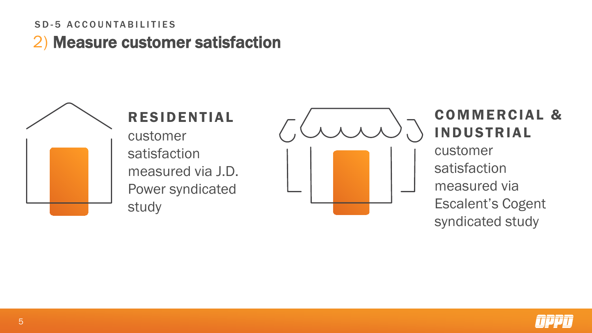#### SD-5 ACCOUNTABILITIES

2) Measure customer satisfaction



# COMMERCIAL & INDUSTRIAL

customer satisfaction measured via Escalent's Cogent syndicated study

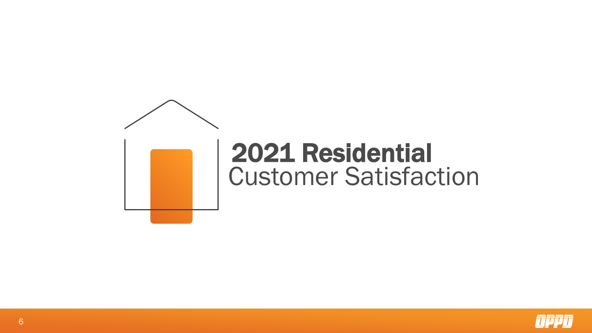

# 2021 Residential Customer Satisfaction

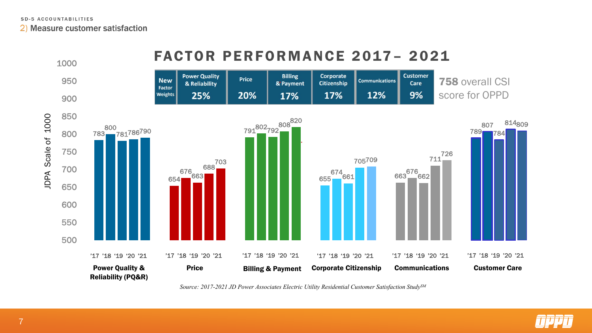2) Measure customer satisfaction



*Source: 2017-2021 JD Power Associates Electric Utility Residential Customer Satisfaction StudySM*

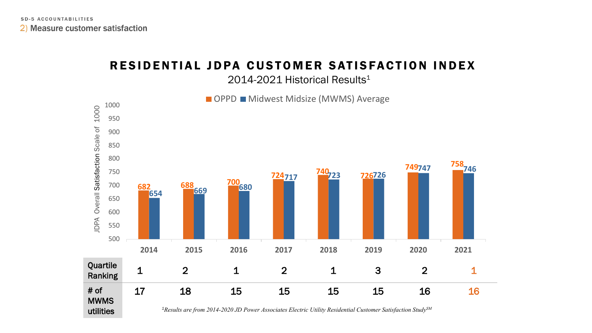# RESIDENTIAL JDPA CUSTOMER SATISFACTION INDEX

2014-2021 Historical Results<sup>1</sup>

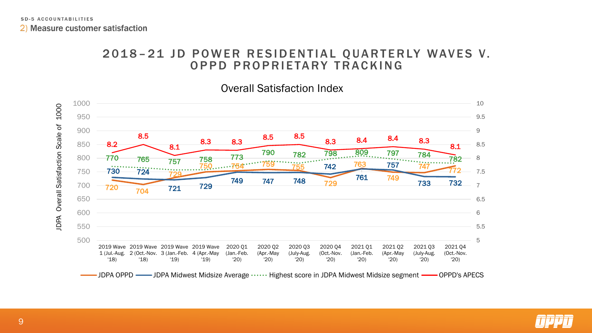2) Measure customer satisfaction

#### 2018 – 21 JD POWER RESIDENTIAL QUARTERLY WAVES V. OPPD PROPRIETARY TRACKING

#### Overall Satisfaction Index



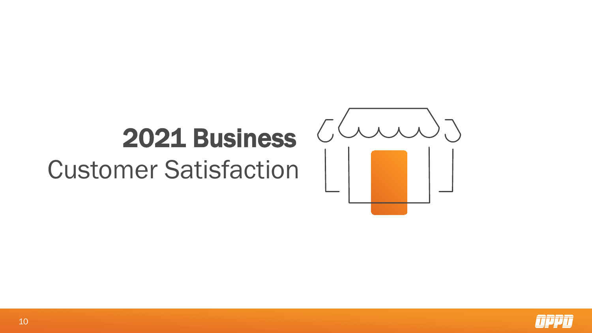# 2021 Business

Customer Satisfaction



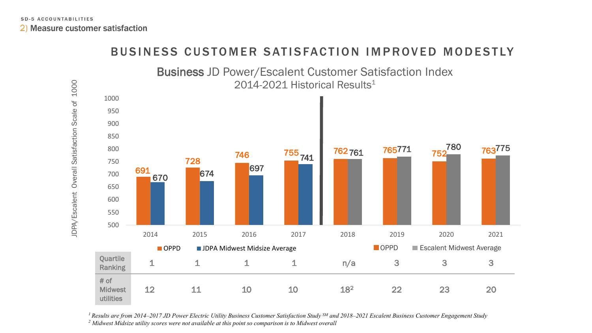

BUSINESS CUSTOMER SATISFACTION IMPROVED MODESTLY

*1 Results are from 2014–2017 JD Power Electric Utility Business Customer Satisfaction Study SM and 2018–2021 Escalent Business Customer Engagement Study <sup>2</sup> Midwest Midsize utility scores were not available at this point so comparison is to Midwest overall*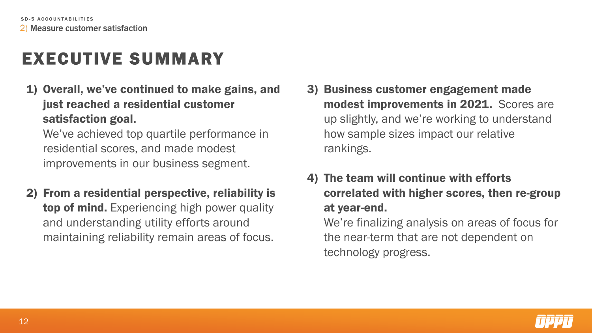# EXECUTIVE SUMMARY

1) Overall, we've continued to make gains, and just reached a residential customer satisfaction goal.

We've achieved top quartile performance in residential scores, and made modest improvements in our business segment.

2) From a residential perspective, reliability is top of mind. Experiencing high power quality and understanding utility efforts around maintaining reliability remain areas of focus.

- 3) Business customer engagement made modest improvements in 2021. Scores are up slightly, and we're working to understand how sample sizes impact our relative rankings.
- 4) The team will continue with efforts correlated with higher scores, then re-group at year-end.

We're finalizing analysis on areas of focus for the near-term that are not dependent on technology progress.

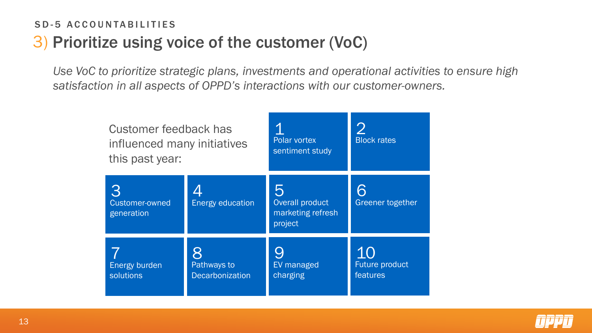## 3) Prioritize using voice of the customer (VoC) SD-5 ACCOUNTABILITIES

*Use VoC to prioritize strategic plans, investments and operational activities to ensure high satisfaction in all aspects of OPPD's interactions with our customer-owners.* 

| Customer feedback has<br>influenced many initiatives<br>this past year: |                                | Polar vortex<br>sentiment study                      | <b>Block</b> rates               |
|-------------------------------------------------------------------------|--------------------------------|------------------------------------------------------|----------------------------------|
| Customer-owned<br>generation                                            | <b>Energy education</b>        | h<br>Overall product<br>marketing refresh<br>project | Greener together                 |
| Energy burden<br>solutions                                              | Pathways to<br>Decarbonization | EV managed<br>charging                               | 10<br>Future product<br>features |

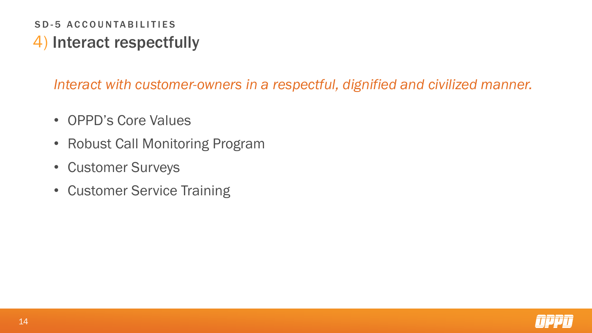## 4) Interact respectfully SD-5 ACCOUNTABILITIES

*Interact with customer-owners in a respectful, dignified and civilized manner.*

- OPPD's Core Values
- Robust Call Monitoring Program
- Customer Surveys
- Customer Service Training

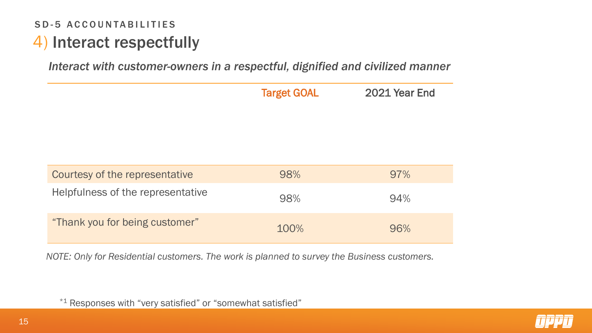## 4) Interact respectfully SD-5 ACCOUNTABILITIES

*Interact with customer-owners in a respectful, dignified and civilized manner*

|                                   | <b>Target GOAL</b> | 2021 Year End |
|-----------------------------------|--------------------|---------------|
| Courtesy of the representative    | 98%                | 97%           |
| Helpfulness of the representative | 98%                | 94%           |
| "Thank you for being customer"    | 100%               | 96%           |

*NOTE: Only for Residential customers. The work is planned to survey the Business customers.*



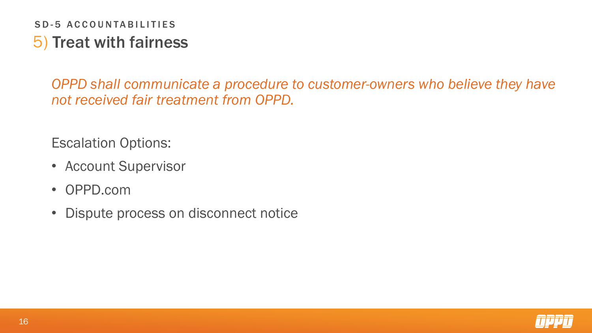## 5) Treat with fairness SD-5 ACCOUNTABILITIES

*OPPD shall communicate a procedure to customer-owners who believe they have not received fair treatment from OPPD.* 

Escalation Options:

- Account Supervisor
- OPPD.com
- Dispute process on disconnect notice

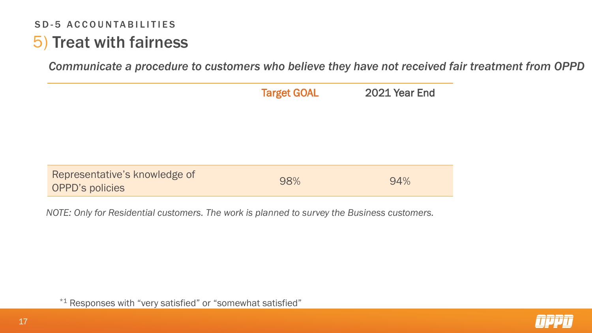## 5) Treat with fairness SD-5 ACCOUNTABILITIES

*Communicate a procedure to customers who believe they have not received fair treatment from OPPD*

|     | 2021 Year End      |
|-----|--------------------|
|     |                    |
|     |                    |
|     |                    |
|     |                    |
|     |                    |
| 98% | 94%                |
|     | <b>Target GOAL</b> |

*NOTE: Only for Residential customers. The work is planned to survey the Business customers.*

\*1 Responses with "very satisfied" or "somewhat satisfied"

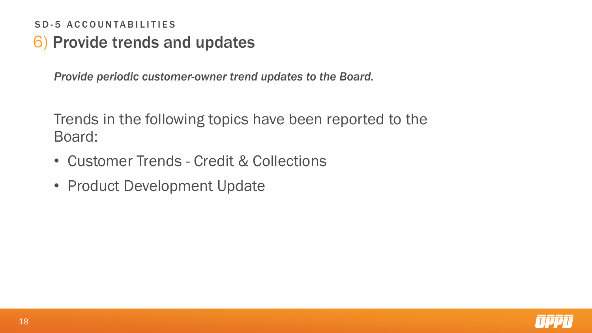## 6) Provide trends and updates SD-5 ACCOUNTABILITIES

*Provide periodic customer-owner trend updates to the Board.*

Trends in the following topics have been reported to the Board:

- Customer Trends Credit & Collections
- Product Development Update

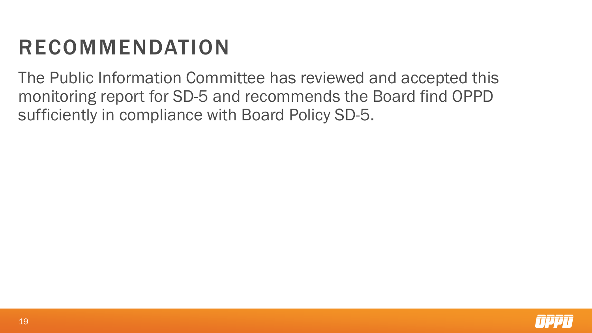# **RECOMMENDATION**

The Public Information Committee has reviewed and accepted this monitoring report for SD-5 and recommends the Board find OPPD sufficiently in compliance with Board Policy SD-5.